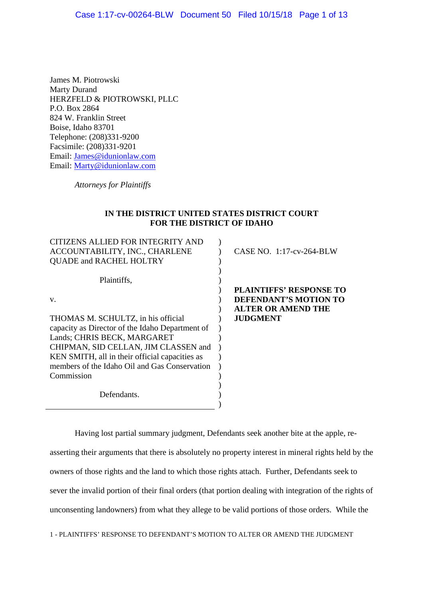James M. Piotrowski Marty Durand HERZFELD & PIOTROWSKI, PLLC P.O. Box 2864 824 W. Franklin Street Boise, Idaho 83701 Telephone: (208)331-9200 Facsimile: (208)331-9201 Email: James@idunionlaw.com Email: Marty@idunionlaw.com

*Attorneys for Plaintiffs*

## **IN THE DISTRICT UNITED STATES DISTRICT COURT FOR THE DISTRICT OF IDAHO**

| CITIZENS ALLIED FOR INTEGRITY AND               |                                |
|-------------------------------------------------|--------------------------------|
| ACCOUNTABILITY, INC., CHARLENE                  | CASE NO. $1:17$ -cv-264-BLW    |
| <b>QUADE and RACHEL HOLTRY</b>                  |                                |
|                                                 |                                |
| Plaintiffs,                                     |                                |
|                                                 | <b>PLAINTIFFS' RESPONSE TO</b> |
| V.                                              | DEFENDANT'S MOTION TO          |
|                                                 | <b>ALTER OR AMEND THE</b>      |
| THOMAS M. SCHULTZ, in his official              | <b>JUDGMENT</b>                |
| capacity as Director of the Idaho Department of |                                |
| Lands; CHRIS BECK, MARGARET                     |                                |
| CHIPMAN, SID CELLAN, JIM CLASSEN and            |                                |
| KEN SMITH, all in their official capacities as  |                                |
| members of the Idaho Oil and Gas Conservation   |                                |
| Commission                                      |                                |
|                                                 |                                |
| Defendants.                                     |                                |
|                                                 |                                |

Having lost partial summary judgment, Defendants seek another bite at the apple, reasserting their arguments that there is absolutely no property interest in mineral rights held by the owners of those rights and the land to which those rights attach. Further, Defendants seek to sever the invalid portion of their final orders (that portion dealing with integration of the rights of unconsenting landowners) from what they allege to be valid portions of those orders. While the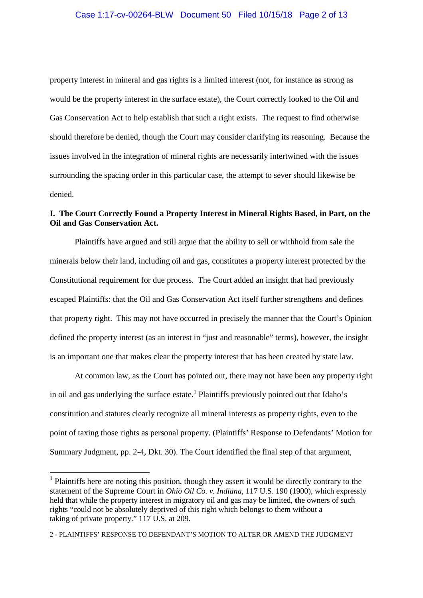property interest in mineral and gas rights is a limited interest (not, for instance as strong as would be the property interest in the surface estate), the Court correctly looked to the Oil and Gas Conservation Act to help establish that such a right exists. The request to find otherwise should therefore be denied, though the Court may consider clarifying its reasoning. Because the issues involved in the integration of mineral rights are necessarily intertwined with the issues surrounding the spacing order in this particular case, the attempt to sever should likewise be denied.

# **I. The Court Correctly Found a Property Interest in Mineral Rights Based, in Part, on the Oil and Gas Conservation Act.**

Plaintiffs have argued and still argue that the ability to sell or withhold from sale the minerals below their land, including oil and gas, constitutes a property interest protected by the Constitutional requirement for due process. The Court added an insight that had previously escaped Plaintiffs: that the Oil and Gas Conservation Act itself further strengthens and defines that property right. This may not have occurred in precisely the manner that the Court's Opinion defined the property interest (as an interest in "just and reasonable" terms), however, the insight is an important one that makes clear the property interest that has been created by state law.

At common law, as the Court has pointed out, there may not have been any property right in oil and gas underlying the surface estate.<sup>1</sup> Plaintiffs previously pointed out that Idaho's constitution and statutes clearly recognize all mineral interests as property rights, even to the point of taxing those rights as personal property. (Plaintiffs' Response to Defendants' Motion for Summary Judgment, pp. 2-4, Dkt. 30). The Court identified the final step of that argument,

<sup>&</sup>lt;sup>1</sup> Plaintiffs here are noting this position, though they assert it would be directly contrary to the statement of the Supreme Court in *Ohio Oil Co. v. Indiana,* 117 U.S. 190 (1900), which expressly held that while the property interest in migratory oil and gas may be limited, **t**he owners of such rights "could not be absolutely deprived of this right which belongs to them without a taking of private property." 117 U.S. at 209.

<sup>2 -</sup> PLAINTIFFS' RESPONSE TO DEFENDANT'S MOTION TO ALTER OR AMEND THE JUDGMENT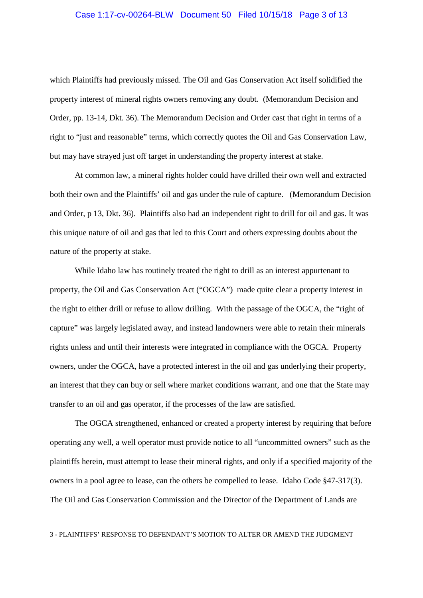## Case 1:17-cv-00264-BLW Document 50 Filed 10/15/18 Page 3 of 13

which Plaintiffs had previously missed. The Oil and Gas Conservation Act itself solidified the property interest of mineral rights owners removing any doubt. (Memorandum Decision and Order, pp. 13-14, Dkt. 36). The Memorandum Decision and Order cast that right in terms of a right to "just and reasonable" terms, which correctly quotes the Oil and Gas Conservation Law, but may have strayed just off target in understanding the property interest at stake.

At common law, a mineral rights holder could have drilled their own well and extracted both their own and the Plaintiffs' oil and gas under the rule of capture. (Memorandum Decision and Order, p 13, Dkt. 36). Plaintiffs also had an independent right to drill for oil and gas. It was this unique nature of oil and gas that led to this Court and others expressing doubts about the nature of the property at stake.

While Idaho law has routinely treated the right to drill as an interest appurtenant to property, the Oil and Gas Conservation Act ("OGCA") made quite clear a property interest in the right to either drill or refuse to allow drilling. With the passage of the OGCA, the "right of capture" was largely legislated away, and instead landowners were able to retain their minerals rights unless and until their interests were integrated in compliance with the OGCA. Property owners, under the OGCA, have a protected interest in the oil and gas underlying their property, an interest that they can buy or sell where market conditions warrant, and one that the State may transfer to an oil and gas operator, if the processes of the law are satisfied.

The OGCA strengthened, enhanced or created a property interest by requiring that before operating any well, a well operator must provide notice to all "uncommitted owners" such as the plaintiffs herein, must attempt to lease their mineral rights, and only if a specified majority of the owners in a pool agree to lease, can the others be compelled to lease. Idaho Code §47-317(3). The Oil and Gas Conservation Commission and the Director of the Department of Lands are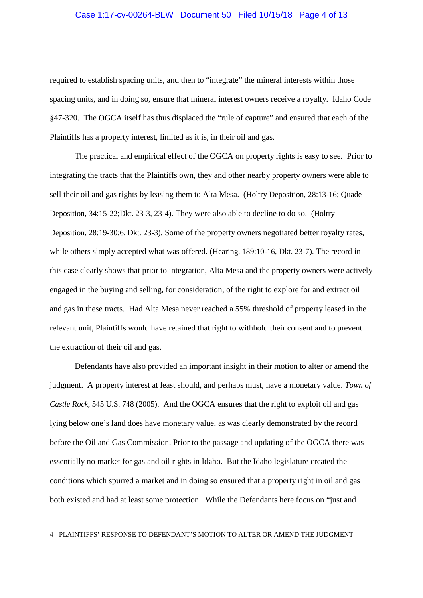## Case 1:17-cv-00264-BLW Document 50 Filed 10/15/18 Page 4 of 13

required to establish spacing units, and then to "integrate" the mineral interests within those spacing units, and in doing so, ensure that mineral interest owners receive a royalty. Idaho Code §47-320. The OGCA itself has thus displaced the "rule of capture" and ensured that each of the Plaintiffs has a property interest, limited as it is, in their oil and gas.

The practical and empirical effect of the OGCA on property rights is easy to see. Prior to integrating the tracts that the Plaintiffs own, they and other nearby property owners were able to sell their oil and gas rights by leasing them to Alta Mesa. (Holtry Deposition, 28:13-16; Quade Deposition, 34:15-22;Dkt. 23-3, 23-4). They were also able to decline to do so. (Holtry Deposition, 28:19-30:6, Dkt. 23-3). Some of the property owners negotiated better royalty rates, while others simply accepted what was offered. (Hearing, 189:10-16, Dkt. 23-7). The record in this case clearly shows that prior to integration, Alta Mesa and the property owners were actively engaged in the buying and selling, for consideration, of the right to explore for and extract oil and gas in these tracts. Had Alta Mesa never reached a 55% threshold of property leased in the relevant unit, Plaintiffs would have retained that right to withhold their consent and to prevent the extraction of their oil and gas.

Defendants have also provided an important insight in their motion to alter or amend the judgment. A property interest at least should, and perhaps must, have a monetary value. *Town of Castle Rock*, 545 U.S. 748 (2005). And the OGCA ensures that the right to exploit oil and gas lying below one's land does have monetary value, as was clearly demonstrated by the record before the Oil and Gas Commission. Prior to the passage and updating of the OGCA there was essentially no market for gas and oil rights in Idaho. But the Idaho legislature created the conditions which spurred a market and in doing so ensured that a property right in oil and gas both existed and had at least some protection. While the Defendants here focus on "just and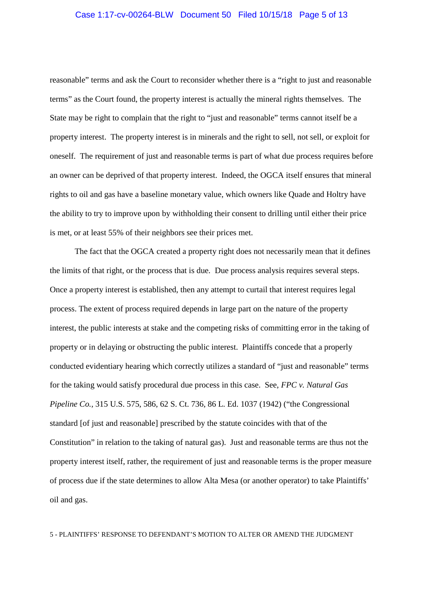## Case 1:17-cv-00264-BLW Document 50 Filed 10/15/18 Page 5 of 13

reasonable" terms and ask the Court to reconsider whether there is a "right to just and reasonable terms" as the Court found, the property interest is actually the mineral rights themselves. The State may be right to complain that the right to "just and reasonable" terms cannot itself be a property interest. The property interest is in minerals and the right to sell, not sell, or exploit for oneself. The requirement of just and reasonable terms is part of what due process requires before an owner can be deprived of that property interest. Indeed, the OGCA itself ensures that mineral rights to oil and gas have a baseline monetary value, which owners like Quade and Holtry have the ability to try to improve upon by withholding their consent to drilling until either their price is met, or at least 55% of their neighbors see their prices met.

The fact that the OGCA created a property right does not necessarily mean that it defines the limits of that right, or the process that is due. Due process analysis requires several steps. Once a property interest is established, then any attempt to curtail that interest requires legal process. The extent of process required depends in large part on the nature of the property interest, the public interests at stake and the competing risks of committing error in the taking of property or in delaying or obstructing the public interest. Plaintiffs concede that a properly conducted evidentiary hearing which correctly utilizes a standard of "just and reasonable" terms for the taking would satisfy procedural due process in this case. See, *FPC v. Natural Gas Pipeline Co.,* 315 U.S. 575, 586, 62 S. Ct. 736, 86 L. Ed. 1037 (1942) ("the Congressional standard [of just and reasonable] prescribed by the statute coincides with that of the Constitution" in relation to the taking of natural gas). Just and reasonable terms are thus not the property interest itself, rather, the requirement of just and reasonable terms is the proper measure of process due if the state determines to allow Alta Mesa (or another operator) to take Plaintiffs' oil and gas.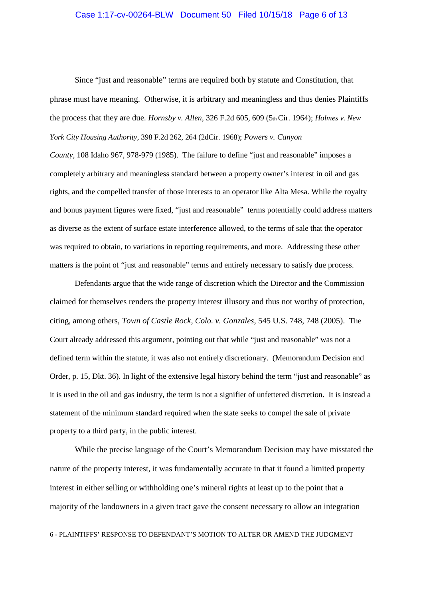## Case 1:17-cv-00264-BLW Document 50 Filed 10/15/18 Page 6 of 13

Since "just and reasonable" terms are required both by statute and Constitution, that phrase must have meaning. Otherwise, it is arbitrary and meaningless and thus denies Plaintiffs the process that they are due. *Hornsby v. Allen,* 326 F.2d 605, 609 (5thCir. 1964); *Holmes v. New York City Housing Authority*, 398 F.2d 262, 264 (2dCir. 1968); *Powers v. Canyon County,* 108 Idaho 967, 978-979 (1985). The failure to define "just and reasonable" imposes a completely arbitrary and meaningless standard between a property owner's interest in oil and gas rights, and the compelled transfer of those interests to an operator like Alta Mesa. While the royalty and bonus payment figures were fixed, "just and reasonable" terms potentially could address matters as diverse as the extent of surface estate interference allowed, to the terms of sale that the operator was required to obtain, to variations in reporting requirements, and more. Addressing these other matters is the point of "just and reasonable" terms and entirely necessary to satisfy due process.

Defendants argue that the wide range of discretion which the Director and the Commission claimed for themselves renders the property interest illusory and thus not worthy of protection, citing, among others, *Town of Castle Rock, Colo. v. Gonzales*, 545 U.S. 748, 748 (2005). The Court already addressed this argument, pointing out that while "just and reasonable" was not a defined term within the statute, it was also not entirely discretionary. (Memorandum Decision and Order, p. 15, Dkt. 36). In light of the extensive legal history behind the term "just and reasonable" as it is used in the oil and gas industry, the term is not a signifier of unfettered discretion. It is instead a statement of the minimum standard required when the state seeks to compel the sale of private property to a third party, in the public interest.

While the precise language of the Court's Memorandum Decision may have misstated the nature of the property interest, it was fundamentally accurate in that it found a limited property interest in either selling or withholding one's mineral rights at least up to the point that a majority of the landowners in a given tract gave the consent necessary to allow an integration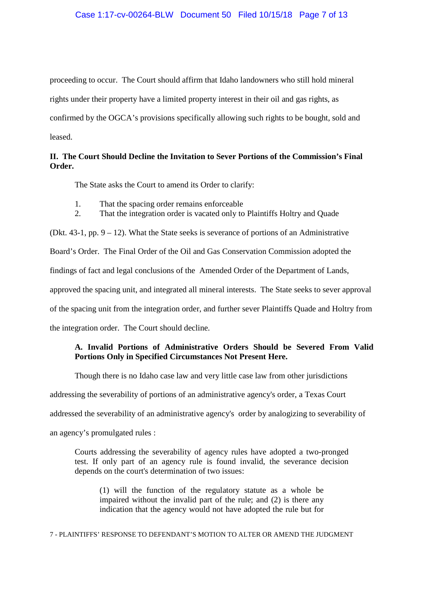proceeding to occur. The Court should affirm that Idaho landowners who still hold mineral rights under their property have a limited property interest in their oil and gas rights, as confirmed by the OGCA's provisions specifically allowing such rights to be bought, sold and leased.

# **II. The Court Should Decline the Invitation to Sever Portions of the Commission's Final Order.**

The State asks the Court to amend its Order to clarify:

- 1. That the spacing order remains enforceable
- 2. That the integration order is vacated only to Plaintiffs Holtry and Quade

(Dkt.  $43-1$ , pp.  $9-12$ ). What the State seeks is severance of portions of an Administrative Board's Order. The Final Order of the Oil and Gas Conservation Commission adopted the findings of fact and legal conclusions of the Amended Order of the Department of Lands, approved the spacing unit, and integrated all mineral interests. The State seeks to sever approval of the spacing unit from the integration order, and further sever Plaintiffs Quade and Holtry from the integration order. The Court should decline.

# **A. Invalid Portions of Administrative Orders Should be Severed From Valid Portions Only in Specified Circumstances Not Present Here.**

Though there is no Idaho case law and very little case law from other jurisdictions addressing the severability of portions of an administrative agency's order, a Texas Court addressed the severability of an administrative agency's order by analogizing to severability of an agency's promulgated rules :

Courts addressing the severability of agency rules have adopted a two-pronged test. If only part of an agency rule is found invalid, the severance decision depends on the court's determination of two issues:

(1) will the function of the regulatory statute as a whole be impaired without the invalid part of the rule; and (2) is there any indication that the agency would not have adopted the rule but for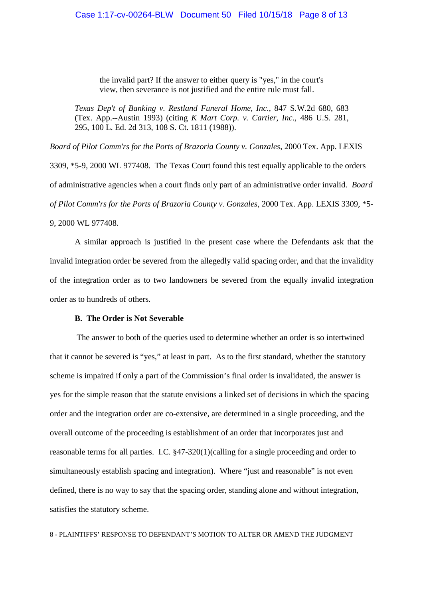the invalid part? If the answer to either query is "yes," in the court's view, then severance is not justified and the entire rule must fall.

*Texas Dep't of Banking v. Restland Funeral Home, Inc*., 847 S.W.2d 680, 683 (Tex. App.--Austin 1993) (citing *K Mart Corp. v. Cartier, Inc*., 486 U.S. 281, 295, 100 L. Ed. 2d 313, 108 S. Ct. 1811 (1988)).

*Board of Pilot Comm'rs for the Ports of Brazoria County v. Gonzales*, 2000 Tex. App. LEXIS 3309, \*5-9, 2000 WL 977408. The Texas Court found this test equally applicable to the orders of administrative agencies when a court finds only part of an administrative order invalid. *Board of Pilot Comm'rs for the Ports of Brazoria County v. Gonzales*, 2000 Tex. App. LEXIS 3309, \*5- 9, 2000 WL 977408.

A similar approach is justified in the present case where the Defendants ask that the invalid integration order be severed from the allegedly valid spacing order, and that the invalidity of the integration order as to two landowners be severed from the equally invalid integration order as to hundreds of others.

### **B. The Order is Not Severable**

The answer to both of the queries used to determine whether an order is so intertwined that it cannot be severed is "yes," at least in part. As to the first standard, whether the statutory scheme is impaired if only a part of the Commission's final order is invalidated, the answer is yes for the simple reason that the statute envisions a linked set of decisions in which the spacing order and the integration order are co-extensive, are determined in a single proceeding, and the overall outcome of the proceeding is establishment of an order that incorporates just and reasonable terms for all parties. I.C. §47-320(1)(calling for a single proceeding and order to simultaneously establish spacing and integration). Where "just and reasonable" is not even defined, there is no way to say that the spacing order, standing alone and without integration, satisfies the statutory scheme.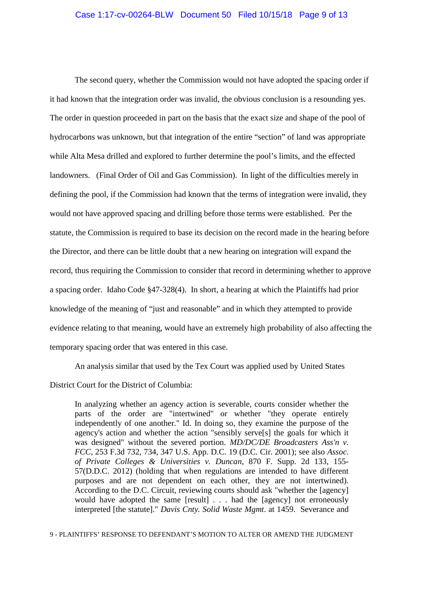### Case 1:17-cv-00264-BLW Document 50 Filed 10/15/18 Page 9 of 13

The second query, whether the Commission would not have adopted the spacing order if it had known that the integration order was invalid, the obvious conclusion is a resounding yes. The order in question proceeded in part on the basis that the exact size and shape of the pool of hydrocarbons was unknown, but that integration of the entire "section" of land was appropriate while Alta Mesa drilled and explored to further determine the pool's limits, and the effected landowners. (Final Order of Oil and Gas Commission). In light of the difficulties merely in defining the pool, if the Commission had known that the terms of integration were invalid, they would not have approved spacing and drilling before those terms were established. Per the statute, the Commission is required to base its decision on the record made in the hearing before the Director, and there can be little doubt that a new hearing on integration will expand the record, thus requiring the Commission to consider that record in determining whether to approve a spacing order. Idaho Code §47-328(4). In short, a hearing at which the Plaintiffs had prior knowledge of the meaning of "just and reasonable" and in which they attempted to provide evidence relating to that meaning, would have an extremely high probability of also affecting the temporary spacing order that was entered in this case.

An analysis similar that used by the Tex Court was applied used by United States

District Court for the District of Columbia:

In analyzing whether an agency action is severable, courts consider whether the parts of the order are "intertwined" or whether "they operate entirely independently of one another." Id. In doing so, they examine the purpose of the agency's action and whether the action "sensibly serve[s] the goals for which it was designed" without the severed portion. *MD/DC/DE Broadcasters Ass'n v. FCC*, 253 F.3d 732, 734, 347 U.S. App. D.C. 19 (D.C. Cir. 2001); see also *Assoc. of Private Colleges & Universities v. Duncan*, 870 F. Supp. 2d 133, 155- 57(D.D.C. 2012) (holding that when regulations are intended to have different purposes and are not dependent on each other, they are not intertwined). According to the D.C. Circuit, reviewing courts should ask "whether the [agency] would have adopted the same [result] . . . had the [agency] not erroneously interpreted [the statute]." *Davis Cnty. Solid Waste Mgmt*. at 1459. Severance and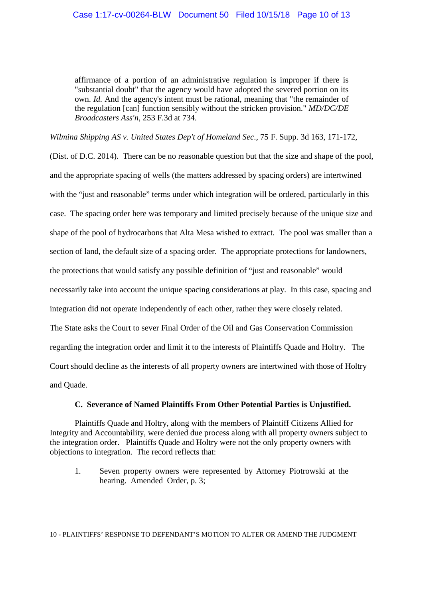affirmance of a portion of an administrative regulation is improper if there is "substantial doubt" that the agency would have adopted the severed portion on its own. *Id.* And the agency's intent must be rational, meaning that "the remainder of the regulation [can] function sensibly without the stricken provision." *MD/DC/DE Broadcasters Ass'n*, 253 F.3d at 734.

*Wilmina Shipping AS v. United States Dep't of Homeland Sec*., 75 F. Supp. 3d 163, 171-172,

(Dist. of D.C. 2014). There can be no reasonable question but that the size and shape of the pool, and the appropriate spacing of wells (the matters addressed by spacing orders) are intertwined with the "just and reasonable" terms under which integration will be ordered, particularly in this case. The spacing order here was temporary and limited precisely because of the unique size and shape of the pool of hydrocarbons that Alta Mesa wished to extract. The pool was smaller than a section of land, the default size of a spacing order. The appropriate protections for landowners, the protections that would satisfy any possible definition of "just and reasonable" would necessarily take into account the unique spacing considerations at play. In this case, spacing and integration did not operate independently of each other, rather they were closely related. The State asks the Court to sever Final Order of the Oil and Gas Conservation Commission regarding the integration order and limit it to the interests of Plaintiffs Quade and Holtry. The Court should decline as the interests of all property owners are intertwined with those of Holtry and Quade.

### **C. Severance of Named Plaintiffs From Other Potential Parties is Unjustified.**

Plaintiffs Quade and Holtry, along with the members of Plaintiff Citizens Allied for Integrity and Accountability, were denied due process along with all property owners subject to the integration order. Plaintiffs Quade and Holtry were not the only property owners with objections to integration. The record reflects that:

1. Seven property owners were represented by Attorney Piotrowski at the hearing. Amended Order, p. 3;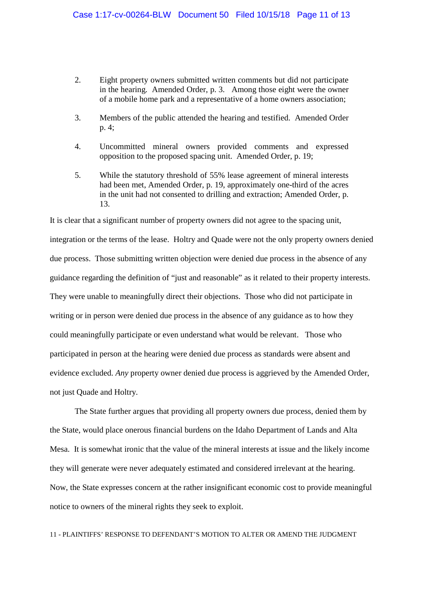- 2. Eight property owners submitted written comments but did not participate in the hearing. Amended Order, p. 3. Among those eight were the owner of a mobile home park and a representative of a home owners association;
- 3. Members of the public attended the hearing and testified. Amended Order p. 4;
- 4. Uncommitted mineral owners provided comments and expressed opposition to the proposed spacing unit. Amended Order, p. 19;
- 5. While the statutory threshold of 55% lease agreement of mineral interests had been met, Amended Order, p. 19, approximately one-third of the acres in the unit had not consented to drilling and extraction; Amended Order, p. 13.

It is clear that a significant number of property owners did not agree to the spacing unit, integration or the terms of the lease. Holtry and Quade were not the only property owners denied due process. Those submitting written objection were denied due process in the absence of any guidance regarding the definition of "just and reasonable" as it related to their property interests. They were unable to meaningfully direct their objections. Those who did not participate in writing or in person were denied due process in the absence of any guidance as to how they could meaningfully participate or even understand what would be relevant. Those who participated in person at the hearing were denied due process as standards were absent and evidence excluded. *Any* property owner denied due process is aggrieved by the Amended Order, not just Quade and Holtry.

The State further argues that providing all property owners due process, denied them by the State, would place onerous financial burdens on the Idaho Department of Lands and Alta Mesa. It is somewhat ironic that the value of the mineral interests at issue and the likely income they will generate were never adequately estimated and considered irrelevant at the hearing. Now, the State expresses concern at the rather insignificant economic cost to provide meaningful notice to owners of the mineral rights they seek to exploit.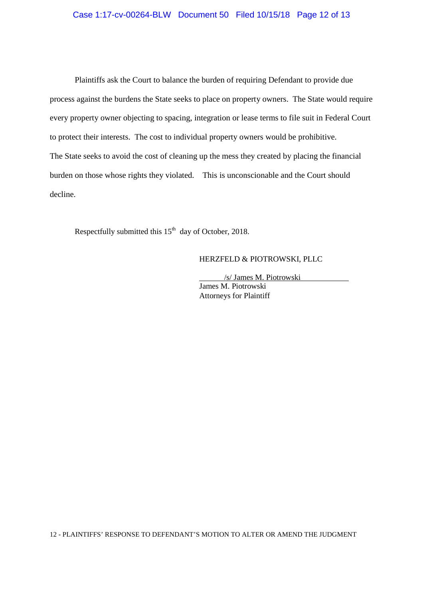## Case 1:17-cv-00264-BLW Document 50 Filed 10/15/18 Page 12 of 13

Plaintiffs ask the Court to balance the burden of requiring Defendant to provide due process against the burdens the State seeks to place on property owners. The State would require every property owner objecting to spacing, integration or lease terms to file suit in Federal Court to protect their interests. The cost to individual property owners would be prohibitive. The State seeks to avoid the cost of cleaning up the mess they created by placing the financial burden on those whose rights they violated. This is unconscionable and the Court should decline.

Respectfully submitted this  $15<sup>th</sup>$  day of October, 2018.

### HERZFELD & PIOTROWSKI, PLLC

/s/ James M. Piotrowski

James M. Piotrowski Attorneys for Plaintiff